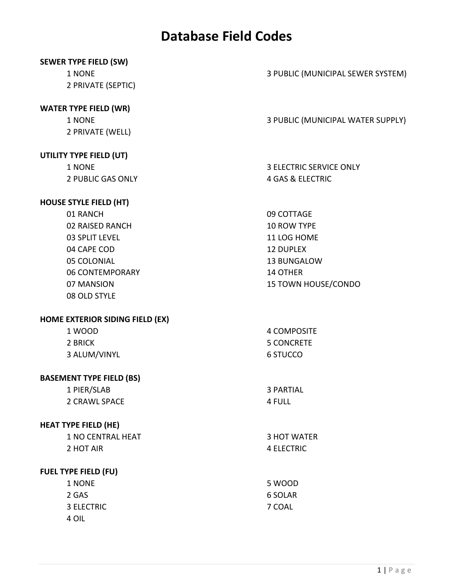| <b>SEWER TYPE FIELD (SW)</b> |  |
|------------------------------|--|
|------------------------------|--|

1 NONE 2 PRIVATE (SEPTIC)

### **WATER TYPE FIELD (WR)**

1 NONE 2 PRIVATE (WELL)

### **UTILITY TYPE FIELD (UT)**

1 NONE 2 PUBLIC GAS ONLY

### **HOUSE STYLE FIELD (HT)**

| 01 RANCH        | 09 COTTAGE                 |
|-----------------|----------------------------|
| 02 RAISED RANCH | <b>10 ROW TYPE</b>         |
| 03 SPLIT LEVEL  | 11 LOG HOME                |
| 04 CAPE COD     | <b>12 DUPLEX</b>           |
| 05 COLONIAL     | <b>13 BUNGALOW</b>         |
| 06 CONTEMPORARY | 14 OTHER                   |
| 07 MANSION      | <b>15 TOWN HOUSE/CONDO</b> |
| 08 OLD STYLE    |                            |

### **HOME EXTERIOR SIDING FIELD (EX)**

| 1 WOOD       | 4 COMPOSITE |
|--------------|-------------|
| 2 BRICK      | 5 CONCRETE  |
| 3 ALUM/VINYL | 6 STUCCO    |

### **BASEMENT TYPE FIELD (BS)**

| 1 PIER/SLAB   | 3 PARTIAL |
|---------------|-----------|
| 2 CRAWL SPACE | 4 FULL    |

### **HEAT TYPE FIELD (HE)**

| 1 NO CENTRAL HEAT | 3 HOT WATER |
|-------------------|-------------|
| 2 HOT AIR         | 4 ELECTRIC  |

### **FUEL TYPE FIELD (FU)**

| 6 SOLAR |
|---------|
|         |
|         |
|         |

3 PUBLIC (MUNICIPAL SEWER SYSTEM)

3 PUBLIC (MUNICIPAL WATER SUPPLY)

3 ELECTRIC SERVICE ONLY 4 GAS & ELECTRIC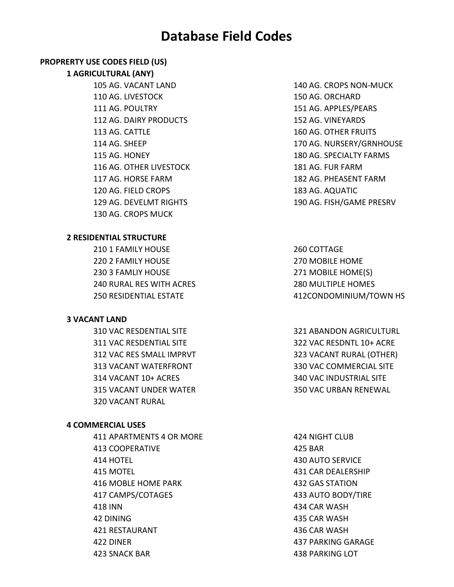### **PROPRERTY USE CODES FIELD (US)**

#### **1 AGRICULTURAL (ANY)**

105 AG. VACANT LAND 110 AG. LIVESTOCK 111 AG. POULTRY 112 AG. DAIRY PRODUCTS 113 AG. CATTLE 114 AG. SHEEP 115 AG. HONEY 116 AG. OTHER LIVESTOCK 117 AG. HORSE FARM 120 AG. FIELD CROPS 129 AG. DEVELMT RIGHTS 130 AG. CROPS MUCK

#### **2 RESIDENTIAL STRUCTURE**

210 1 FAMILY HOUSE 220 2 FAMILY HOUSE 230 3 FAMLIY HOUSE 240 RURAL RES WITH ACRES 250 RESIDENTIAL ESTATE

#### **3 VACANT LAND**

310 VAC RESDENTIAL SITE 311 VAC RESDENTIAL SITE 312 VAC RES SMALL IMPRVT 313 VACANT WATERFRONT 314 VACANT 10+ ACRES 315 VACANT UNDER WATER 320 VACANT RURAL

#### **4 COMMERCIAL USES**

411 APARTMENTS 4 OR MORE 413 COOPERATIVE 414 HOTEL 415 MOTEL 416 MOBLE HOME PARK 417 CAMPS/COTAGES 418 INN 42 DINING 421 RESTAURANT 422 DINER 423 SNACK BAR

140 AG. CROPS NON‐MUCK 150 AG. ORCHARD 151 AG. APPLES/PEARS 152 AG. VINEYARDS 160 AG. OTHER FRUITS 170 AG. NURSERY/GRNHOUSE 180 AG. SPECIALTY FARMS 181 AG. FUR FARM 182 AG. PHEASENT FARM 183 AG. AQUATIC 190 AG. FISH/GAME PRESRV

260 COTTAGE 270 MOBILE HOME 271 MOBILE HOME(S) 280 MULTIPLE HOMES 412CONDOMINIUM/TOWN HS

321 ABANDON AGRICULTURL 322 VAC RESDNTL 10+ ACRE 323 VACANT RURAL (OTHER) 330 VAC COMMERCIAL SITE 340 VAC INDUSTRIAL SITE 350 VAC URBAN RENEWAL

424 NIGHT CLUB 425 BAR 430 AUTO SERVICE 431 CAR DEALERSHIP 432 GAS STATION 433 AUTO BODY/TIRE 434 CAR WASH 435 CAR WASH 436 CAR WASH 437 PARKING GARAGE 438 PARKING LOT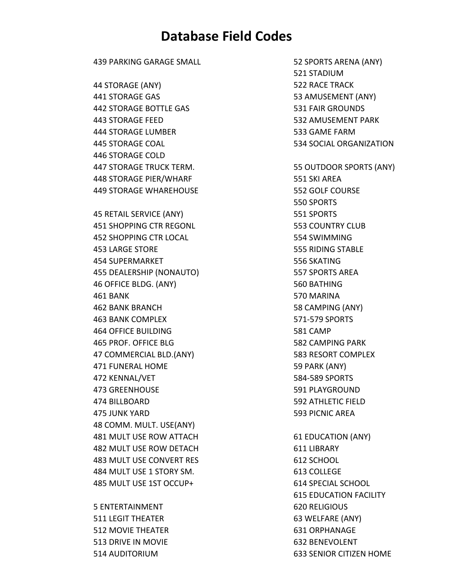439 PARKING GARAGE SMALL 44 STORAGE (ANY) 441 STORAGE GAS 442 STORAGE BOTTLE GAS 443 STORAGE FEED 444 STORAGE LUMBER 445 STORAGE COAL 446 STORAGE COLD 447 STORAGE TRUCK TERM. 448 STORAGE PIER/WHARF 449 STORAGE WHAREHOUSE 45 RETAIL SERVICE (ANY) 451 SHOPPING CTR REGONL 452 SHOPPING CTR LOCAL 453 LARGE STORE 454 SUPERMARKET 455 DEALERSHIP (NONAUTO) 46 OFFICE BLDG. (ANY) 461 BANK 462 BANK BRANCH 463 BANK COMPLEX 464 OFFICE BUILDING 465 PROF. OFFICE BLG 47 COMMERCIAL BLD.(ANY) 471 FUNERAL HOME 472 KENNAL/VET 473 GREENHOUSE 474 BILLBOARD 475 JUNK YARD 48 COMM. MULT. USE(ANY) 481 MULT USE ROW ATTACH 482 MULT USE ROW DETACH 483 MULT USE CONVERT RES 484 MULT USE 1 STORY SM. 485 MULT USE 1ST OCCUP+

5 ENTERTAINMENT 511 LEGIT THEATER 512 MOVIE THEATER 513 DRIVE IN MOVIE 514 AUDITORIUM

52 SPORTS ARENA (ANY) 521 STADIUM 522 RACE TRACK 53 AMUSEMENT (ANY) 531 FAIR GROUNDS 532 AMUSEMENT PARK 533 GAME FARM 534 SOCIAL ORGANIZATION 55 OUTDOOR SPORTS (ANY) 551 SKI AREA 552 GOLF COURSE 550 SPORTS 551 SPORTS 553 COUNTRY CLUB 554 SWIMMING 555 RIDING STABLE 556 SKATING 557 SPORTS AREA 560 BATHING 570 MARINA 58 CAMPING (ANY) 571‐579 SPORTS 581 CAMP 582 CAMPING PARK 583 RESORT COMPLEX 59 PARK (ANY) 584‐589 SPORTS 591 PLAYGROUND 592 ATHLETIC FIELD 593 PICNIC AREA 61 EDUCATION (ANY) 611 LIBRARY 612 SCHOOL 613 COLLEGE 614 SPECIAL SCHOOL 615 EDUCATION FACILITY 620 RELIGIOUS 63 WELFARE (ANY) 631 ORPHANAGE 632 BENEVOLENT 633 SENIOR CITIZEN HOME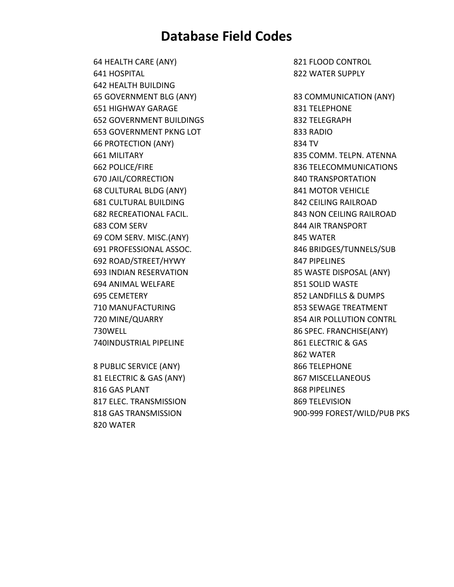64 HEALTH CARE (ANY) 641 HOSPITAL 642 HEALTH BUILDING 65 GOVERNMENT BLG (ANY) 651 HIGHWAY GARAGE 652 GOVERNMENT BUILDINGS 653 GOVERNMENT PKNG LOT 66 PROTECTION (ANY) 661 MILITARY 662 POLICE/FIRE 670 JAIL/CORRECTION 68 CULTURAL BLDG (ANY) 681 CULTURAL BUILDING 682 RECREATIONAL FACIL. 683 COM SERV 69 COM SERV. MISC.(ANY) 691 PROFESSIONAL ASSOC. 692 ROAD/STREET/HYWY 693 INDIAN RESERVATION 694 ANIMAL WELFARE 695 CEMETERY 710 MANUFACTURING 720 MINE/QUARRY 730WELL 740INDUSTRIAL PIPELINE

8 PUBLIC SERVICE (ANY) 81 ELECTRIC & GAS (ANY) 816 GAS PLANT 817 ELEC. TRANSMISSION 818 GAS TRANSMISSION 820 WATER

821 FLOOD CONTROL 822 WATER SUPPLY

83 COMMUNICATION (ANY) 831 TELEPHONE 832 TELEGRAPH 833 RADIO 834 TV 835 COMM. TELPN. ATENNA 836 TELECOMMUNICATIONS 840 TRANSPORTATION 841 MOTOR VEHICLE 842 CEILING RAILROAD 843 NON CEILING RAILROAD 844 AIR TRANSPORT 845 WATER 846 BRIDGES/TUNNELS/SUB 847 PIPELINES 85 WASTE DISPOSAL (ANY) 851 SOLID WASTE 852 LANDFILLS & DUMPS 853 SEWAGE TREATMENT 854 AIR POLLUTION CONTRL 86 SPEC. FRANCHISE(ANY) 861 ELECTRIC & GAS 862 WATER 866 TELEPHONE 867 MISCELLANEOUS 868 PIPELINES 869 TELEVISION 900‐999 FOREST/WILD/PUB PKS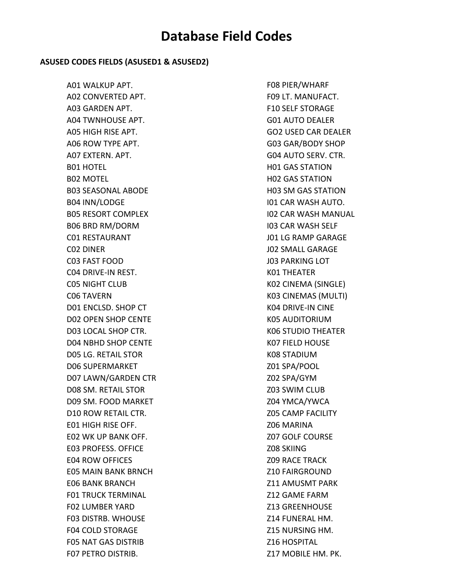#### **ASUSED CODES FIELDS (ASUSED1 & ASUSED2)**

A01 WALKUP APT. A02 CONVERTED APT. A03 GARDEN APT. A04 TWNHOUSE APT. A05 HIGH RISE APT. A06 ROW TYPE APT. A07 EXTERN. APT. B01 HOTEL B02 MOTEL B03 SEASONAL ABODE B04 INN/LODGE B05 RESORT COMPLEX B06 BRD RM/DORM C01 RESTAURANT C02 DINER C03 FAST FOOD C04 DRIVE‐IN REST. C05 NIGHT CLUB C06 TAVERN D01 ENCLSD. SHOP CT D02 OPEN SHOP CENTE D03 LOCAL SHOP CTR. D04 NBHD SHOP CENTE D05 LG. RETAIL STOR D06 SUPERMARKET D07 LAWN/GARDEN CTR D08 SM. RETAIL STOR D09 SM. FOOD MARKET D10 ROW RETAIL CTR. E01 HIGH RISE OFF. E02 WK UP BANK OFF. E03 PROFESS. OFFICE E04 ROW OFFICES E05 MAIN BANK BRNCH E06 BANK BRANCH F01 TRUCK TERMINAL F02 LUMBER YARD F03 DISTRB. WHOUSE F04 COLD STORAGE F05 NAT GAS DISTRIB F07 PETRO DISTRIB.

F08 PIER/WHARF F09 LT. MANUFACT. F10 SELF STORAGE G01 AUTO DEALER GO2 USED CAR DEALER G03 GAR/BODY SHOP G04 AUTO SERV. CTR. H01 GAS STATION H02 GAS STATION H03 SM GAS STATION I01 CAR WASH AUTO. I02 CAR WASH MANUAL I03 CAR WASH SELF J01 LG RAMP GARAGE J02 SMALL GARAGE J03 PARKING LOT K01 THEATER K02 CINEMA (SINGLE) K03 CINEMAS (MULTI) K04 DRIVE‐IN CINE K05 AUDITORIUM K06 STUDIO THEATER K07 FIELD HOUSE K08 STADIUM Z01 SPA/POOL Z02 SPA/GYM Z03 SWIM CLUB Z04 YMCA/YWCA Z05 CAMP FACILITY Z06 MARINA Z07 GOLF COURSE Z08 SKIING Z09 RACE TRACK Z10 FAIRGROUND Z11 AMUSMT PARK Z12 GAME FARM Z13 GREENHOUSE Z14 FUNERAL HM. Z15 NURSING HM. Z16 HOSPITAL Z17 MOBILE HM. PK.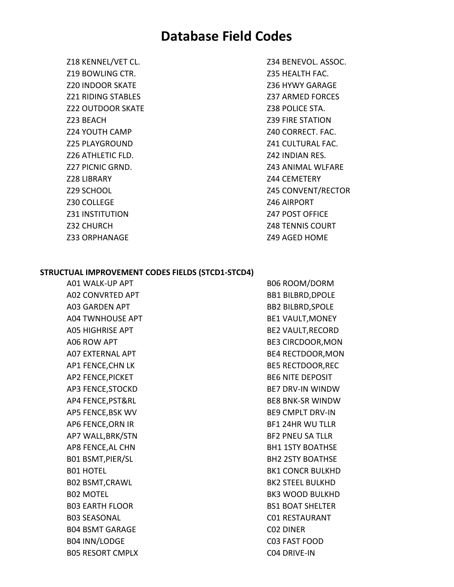Z18 KENNEL/VET CL. Z19 BOWLING CTR. Z20 INDOOR SKATE Z21 RIDING STABLES Z22 OUTDOOR SKATE Z23 BEACH Z24 YOUTH CAMP Z25 PLAYGROUND Z26 ATHLETIC FLD. Z27 PICNIC GRND. Z28 LIBRARY Z29 SCHOOL Z30 COLLEGE Z31 INSTITUTION Z32 CHURCH Z33 ORPHANAGE

Z34 BENEVOL. ASSOC. Z35 HEALTH FAC. Z36 HYWY GARAGE Z37 ARMED FORCES Z38 POLICE STA. Z39 FIRE STATION Z40 CORRECT. FAC. Z41 CULTURAL FAC. Z42 INDIAN RES. Z43 ANIMAL WLFARE Z44 CEMETERY Z45 CONVENT/RECTOR Z46 AIRPORT Z47 POST OFFICE Z48 TENNIS COURT Z49 AGED HOME

#### **STRUCTUAL IMPROVEMENT CODES FIELDS (STCD1‐STCD4)**

A01 WALK‐UP APT A02 CONVRTED APT A03 GARDEN APT A04 TWNHOUSE APT A05 HIGHRISE APT A06 ROW APT A07 EXTERNAL APT AP1 FENCE,CHN LK AP2 FENCE,PICKET AP3 FENCE,STOCKD AP4 FENCE,PST&RL AP5 FENCE,BSK WV AP6 FENCE,ORN IR AP7 WALL,BRK/STN AP8 FENCE,AL CHN B01 BSMT,PIER/SL B01 HOTEL B02 BSMT,CRAWL B02 MOTEL B03 EARTH FLOOR B03 SEASONAL B04 BSMT GARAGE B04 INN/LODGE B05 RESORT CMPLX

B06 ROOM/DORM BB1 BILBRD,DPOLE BB2 BILBRD,SPOLE BE1 VAULT,MONEY BE2 VAULT,RECORD BE3 CIRCDOOR,MON BE4 RECTDOOR,MON BE5 RECTDOOR,REC BE6 NITE DEPOSIT BE7 DRV‐IN WINDW BE8 BNK‐SR WINDW BE9 CMPLT DRV‐IN BF1 24HR WU TLLR BF2 PNEU SA TLLR BH1 1STY BOATHSE BH2 2STY BOATHSE BK1 CONCR BULKHD BK2 STEEL BULKHD BK3 WOOD BULKHD BS1 BOAT SHELTER C01 RESTAURANT C02 DINER C03 FAST FOOD C04 DRIVE‐IN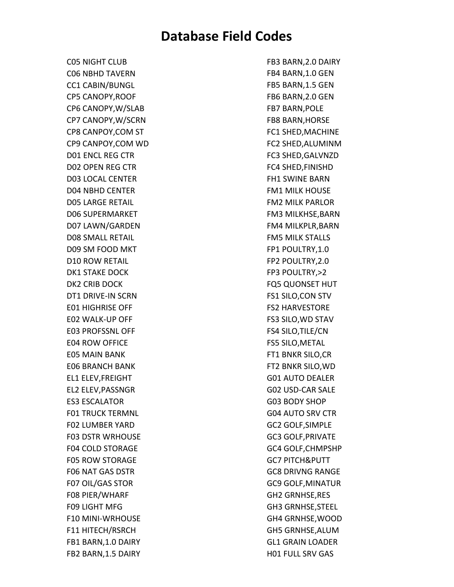C05 NIGHT CLUB C06 NBHD TAVERN CC1 CABIN/BUNGL CP5 CANOPY,ROOF CP6 CANOPY,W/SLAB CP7 CANOPY,W/SCRN CP8 CANPOY,COM ST CP9 CANPOY,COM WD D01 ENCL REG CTR D02 OPEN REG CTR D03 LOCAL CENTER D04 NBHD CENTER D05 LARGE RETAIL D06 SUPERMARKET D07 LAWN/GARDEN D08 SMALL RETAIL D09 SM FOOD MKT D10 ROW RETAIL DK1 STAKE DOCK DK2 CRIB DOCK DT1 DRIVE‐IN SCRN E01 HIGHRISE OFF E02 WALK‐UP OFF E03 PROFSSNL OFF E04 ROW OFFICE E05 MAIN BANK E06 BRANCH BANK EL1 ELEV,FREIGHT EL2 ELEV,PASSNGR ES3 ESCALATOR F01 TRUCK TERMNL F02 LUMBER YARD F03 DSTR WRHOUSE F04 COLD STORAGE F05 ROW STORAGE F06 NAT GAS DSTR F07 OIL/GAS STOR F08 PIER/WHARF F09 LIGHT MFG F10 MINI‐WRHOUSE F11 HITECH/RSRCH FB1 BARN,1.0 DAIRY FB2 BARN,1.5 DAIRY

FB3 BARN,2.0 DAIRY FB4 BARN,1.0 GEN FB5 BARN,1.5 GEN FB6 BARN,2.0 GEN FB7 BARN,POLE FB8 BARN,HORSE FC1 SHED,MACHINE FC2 SHED,ALUMINM FC3 SHED,GALVNZD FC4 SHED,FINISHD FH1 SWINE BARN FM1 MILK HOUSE FM2 MILK PARLOR FM3 MILKHSE,BARN FM4 MILKPLR,BARN FM5 MILK STALLS FP1 POULTRY,1.0 FP2 POULTRY,2.0 FP3 POULTRY,>2 FQ5 QUONSET HUT FS1 SILO,CON STV FS2 HARVESTORE FS3 SILO,WD STAV FS4 SILO,TILE/CN FS5 SILO,METAL FT1 BNKR SILO,CR FT2 BNKR SILO,WD G01 AUTO DEALER G02 USD‐CAR SALE G03 BODY SHOP G04 AUTO SRV CTR GC2 GOLF,SIMPLE GC3 GOLF,PRIVATE GC4 GOLF,CHMPSHP GC7 PITCH&PUTT GC8 DRIVNG RANGE GC9 GOLF,MINATUR GH2 GRNHSE,RES GH3 GRNHSE,STEEL GH4 GRNHSE,WOOD GH5 GRNHSE,ALUM GL1 GRAIN LOADER H01 FULL SRV GAS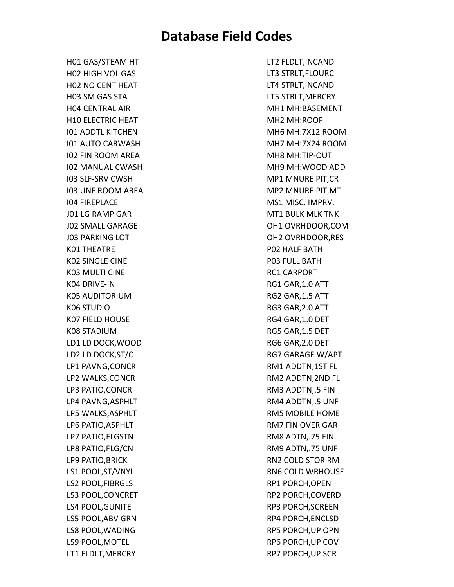H01 GAS/STEAM HT H02 HIGH VOL GAS H02 NO CENT HEAT H03 SM GAS STA H04 CENTRAL AIR H10 ELECTRIC HEAT I01 ADDTL KITCHEN I01 AUTO CARWASH I02 FIN ROOM AREA I02 MANUAL CWASH I03 SLF‐SRV CWSH I03 UNF ROOM AREA I04 FIREPLACE J01 LG RAMP GAR J02 SMALL GARAGE J03 PARKING LOT K01 THEATRE K02 SINGLE CINE K03 MULTI CINE K04 DRIVE‐IN K05 AUDITORIUM K06 STUDIO K07 FIELD HOUSE K08 STADIUM LD1 LD DOCK,WOOD LD2 LD DOCK,ST/C LP1 PAVNG,CONCR LP2 WALKS,CONCR LP3 PATIO,CONCR LP4 PAVNG,ASPHLT LP5 WALKS,ASPHLT LP6 PATIO,ASPHLT LP7 PATIO,FLGSTN LP8 PATIO,FLG/CN LP9 PATIO,BRICK LS1 POOL,ST/VNYL LS2 POOL,FIBRGLS LS3 POOL,CONCRET LS4 POOL,GUNITE LS5 POOL,ABV GRN LS8 POOL,WADING LS9 POOL,MOTEL LT1 FLDLT,MERCRY

LT2 FLDLT,INCAND LT3 STRLT,FLOURC LT4 STRLT,INCAND LT5 STRLT,MERCRY MH1 MH:BASEMENT MH2 MH:ROOF MH6 MH:7X12 ROOM MH7 MH:7X24 ROOM MH8 MH:TIP‐OUT MH9 MH:WOOD ADD MP1 MNURE PIT,CR MP2 MNURE PIT,MT MS1 MISC. IMPRV. MT1 BULK MLK TNK OH1 OVRHDOOR,COM OH2 OVRHDOOR,RES P02 HALF BATH P03 FULL BATH RC1 CARPORT RG1 GAR,1.0 ATT RG2 GAR,1.5 ATT RG3 GAR,2.0 ATT RG4 GAR,1.0 DET RG5 GAR,1.5 DET RG6 GAR,2.0 DET RG7 GARAGE W/APT RM1 ADDTN,1ST FL RM2 ADDTN,2ND FL RM3 ADDTN,.5 FIN RM4 ADDTN,.5 UNF RM5 MOBILE HOME RM7 FIN OVER GAR RM8 ADTN,.75 FIN RM9 ADTN,.75 UNF RN2 COLD STOR RM RN6 COLD WRHOUSE RP1 PORCH,OPEN RP2 PORCH,COVERD RP3 PORCH,SCREEN RP4 PORCH,ENCLSD RP5 PORCH,UP OPN RP6 PORCH,UP COV RP7 PORCH,UP SCR